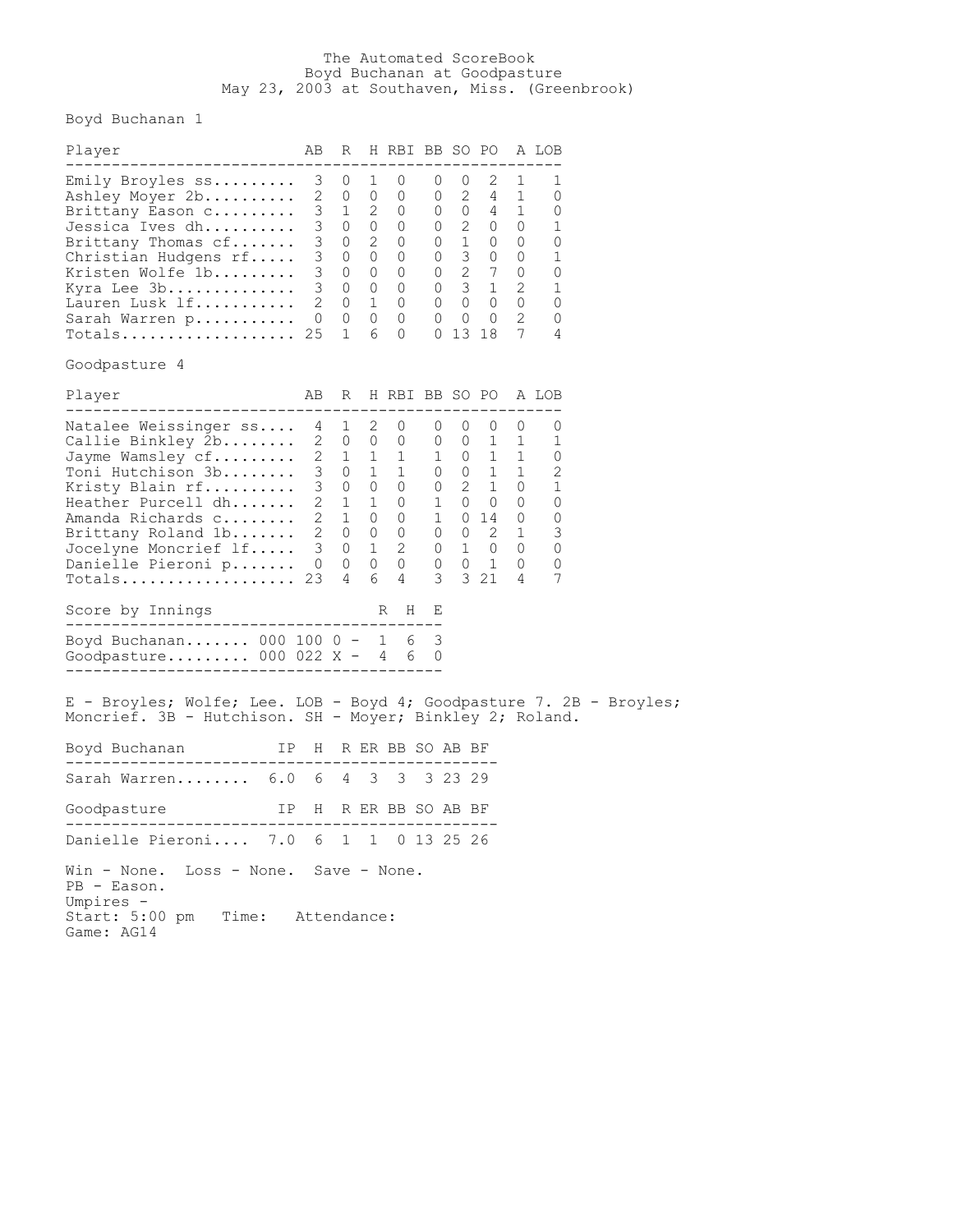## The Automated ScoreBook Boyd Buchanan at Goodpasture May 23, 2003 at Southaven, Miss. (Greenbrook)

Boyd Buchanan 1

| Player<br>--------------------------                                                                                                                                                                                                                                                                                                                                                                                                                               | ΑB                                              | R                                                                     |                                      | H RBI BB SO PO A LOB                                                                                                                                                                                                                                                            |                                          |                                                                       |                                                                              |                                                                                                    |                                                                  |  |
|--------------------------------------------------------------------------------------------------------------------------------------------------------------------------------------------------------------------------------------------------------------------------------------------------------------------------------------------------------------------------------------------------------------------------------------------------------------------|-------------------------------------------------|-----------------------------------------------------------------------|--------------------------------------|---------------------------------------------------------------------------------------------------------------------------------------------------------------------------------------------------------------------------------------------------------------------------------|------------------------------------------|-----------------------------------------------------------------------|------------------------------------------------------------------------------|----------------------------------------------------------------------------------------------------|------------------------------------------------------------------|--|
| Emily Broyles ss<br>Ashley Moyer 2b<br>Brittany Eason c<br>Jessica Ives dh<br>Brittany Thomas cf<br>Christian Hudgens rf<br>Kristen Wolfe 1b<br>Kyra Lee 3b<br>Lauren Lusk lf<br>Sarah Warren p<br>$\texttt{Totals} \dots \dots \dots \dots \dots \dots \ 25$                                                                                                                                                                                                      | 3<br>3<br>3<br>3 <sup>7</sup><br>$\overline{0}$ | U<br>2 0<br>$3 \t1 \t2$<br>0<br>0<br>$2 \t 0 \t 1$<br>$0\quad 0$<br>1 | T<br>$\overline{0}$<br>6             | U<br>0<br>$\overline{0}$<br>3 0 0 0<br>$0\quad 2\quad 0$<br>0 0 0 3 0<br>0 0 0 2 7<br>3 0 0 0 0 3 1<br>$\overline{0}$<br>$\circ$<br>0                                                                                                                                           | U<br>0<br>0                              | U<br>$0 \quad 2 \quad 0$<br>$0\qquad 1\qquad 0$<br>$\circ$<br>0 13 18 | 2<br>$2 \quad 4$<br>$0 \quad 0 \quad 4$<br>$0\quad 0\quad 0$<br>$\mathbf{0}$ | T<br>1<br>$\mathbf{1}$<br>$\overline{0}$<br>0<br>0<br>0<br>$\overline{\phantom{a}}$<br>0<br>2<br>7 | 1<br>0<br>0<br>1<br>0<br>1<br>0<br>1<br>0<br>0<br>4              |  |
| Goodpasture 4                                                                                                                                                                                                                                                                                                                                                                                                                                                      |                                                 |                                                                       |                                      |                                                                                                                                                                                                                                                                                 |                                          |                                                                       |                                                                              |                                                                                                    |                                                                  |  |
| Player                                                                                                                                                                                                                                                                                                                                                                                                                                                             | AВ                                              | R                                                                     |                                      | H RBI BB SO PO                                                                                                                                                                                                                                                                  |                                          |                                                                       |                                                                              |                                                                                                    | A LOB                                                            |  |
| Natalee Weissinger ss<br>Callie Binkley 2b<br>Jayme Wamsley $\mathtt{cf\dots\dots}$<br>Toni Hutchison 3b<br>Kristy Blain rf<br>Heather Purcell dh<br>Amanda Richards c<br>Brittany Roland 1b<br>Jocelyne Moncrief $\mathop{.\!}$ If<br>Danielle Pieroni p<br>Totals<br>Score by Innings<br>----------------------------------<br>Boyd Buchanan 000 100 0 - 1<br>Goodpasture 000 022 $X - 4$<br>E - Broyles; Wolfe; Lee. LOB - Boyd 4; Goodpasture 7. 2B - Broyles; | 4<br>$\mathbf{2}$<br>$\overline{0}$<br>23       | 1<br>$3 \quad 0$<br>3 0<br>$\circ$<br>4                               | $\overline{\phantom{0}}^2$<br>6<br>R | $\circ$<br>2 0 0 0<br>$\begin{array}{cccccccc} 1 & 1 & 1 & 1 & 0 & 1 \\ 0 & 1 & 1 & 0 & 0 & 1 \end{array}$<br>$0\quad 0$<br>$\begin{array}{cccccccc} 2&1&1&0&1&0&0&0 \\ 2&1&0&0&1&0&14&0 \end{array}$<br>2 0 0 0 0 0 2 1<br>3 0 1 2 0 1 0 0<br>$0\quad 0\quad 0$<br>4<br>H<br>6 | 0<br>$\overline{0}$<br>3<br>Ε<br>3<br>60 | 0<br>$0 \quad 2 \quad 1$                                              | 0<br>$0\quad 1$<br>$0\quad 1$<br>3 21                                        | 0<br>1<br>$\overline{1}$<br>$\overline{\phantom{a}}$<br>$\overline{0}$<br>$\circ$<br>4             | 0<br>1<br>0<br>2<br>1<br>0<br>$\overline{0}$<br>3<br>0<br>0<br>7 |  |
| Moncrief. 3B - Hutchison. SH - Moyer; Binkley 2; Roland.                                                                                                                                                                                                                                                                                                                                                                                                           |                                                 |                                                                       |                                      |                                                                                                                                                                                                                                                                                 |                                          |                                                                       |                                                                              |                                                                                                    |                                                                  |  |
| Boyd Buchanan                                                                                                                                                                                                                                                                                                                                                                                                                                                      |                                                 |                                                                       |                                      | IP H R ER BB SO AB BF                                                                                                                                                                                                                                                           | ----------                               |                                                                       |                                                                              |                                                                                                    |                                                                  |  |
| Sarah Warren 6.0 6 4                                                                                                                                                                                                                                                                                                                                                                                                                                               |                                                 |                                                                       | 3                                    | 3                                                                                                                                                                                                                                                                               |                                          | 3 2 3 2 9                                                             |                                                                              |                                                                                                    |                                                                  |  |
| IP H R ER BB SO AB BF<br>Goodpasture<br>----------------<br>. _ _ _ _ _ _ _ _ _ _ _ _                                                                                                                                                                                                                                                                                                                                                                              |                                                 |                                                                       |                                      | ------------                                                                                                                                                                                                                                                                    |                                          |                                                                       |                                                                              |                                                                                                    |                                                                  |  |
| Danielle Pieroni 7.0 6 1                                                                                                                                                                                                                                                                                                                                                                                                                                           |                                                 |                                                                       |                                      | 1 0 13 25 26                                                                                                                                                                                                                                                                    |                                          |                                                                       |                                                                              |                                                                                                    |                                                                  |  |
| Loss - None. Save - None.<br>Win - None.<br>PB - Eason.<br>Umpires -<br>Time: Attendance:<br>Start: 5:00 pm<br>Game: AG14                                                                                                                                                                                                                                                                                                                                          |                                                 |                                                                       |                                      |                                                                                                                                                                                                                                                                                 |                                          |                                                                       |                                                                              |                                                                                                    |                                                                  |  |